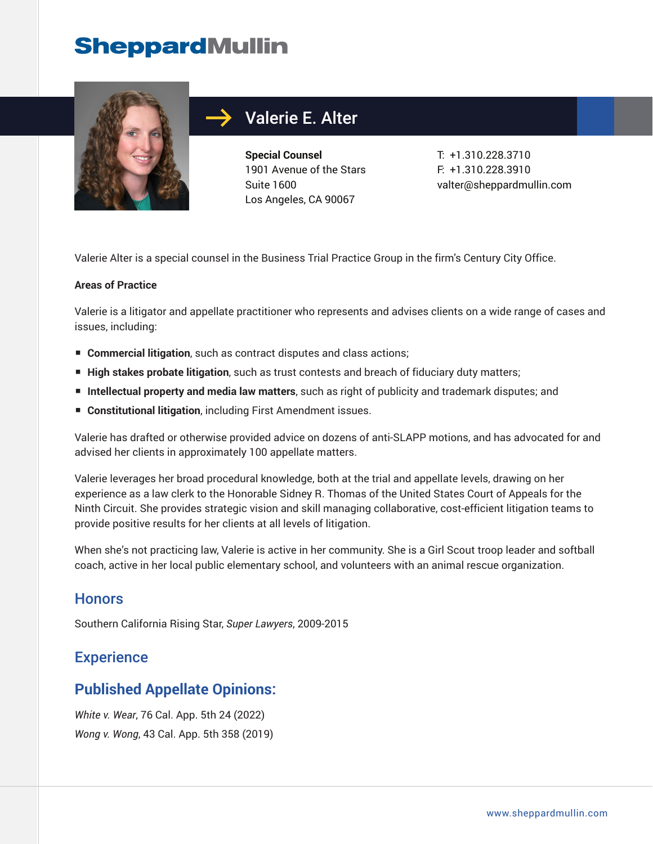# **SheppardMullin**



# Valerie E. Alter

**Special Counsel** 1901 Avenue of the Stars Suite 1600 Los Angeles, CA 90067

T: +1.310.228.3710 F: +1.310.228.3910 valter@sheppardmullin.com

Valerie Alter is a special counsel in the Business Trial Practice Group in the firm's Century City Office.

#### **Areas of Practice**

Valerie is a litigator and appellate practitioner who represents and advises clients on a wide range of cases and issues, including:

- **Commercial litigation**, such as contract disputes and class actions;
- **High stakes probate litigation**, such as trust contests and breach of fiduciary duty matters;
- **Intellectual property and media law matters**, such as right of publicity and trademark disputes; and
- **Constitutional litigation**, including First Amendment issues.

Valerie has drafted or otherwise provided advice on dozens of anti-SLAPP motions, and has advocated for and advised her clients in approximately 100 appellate matters.

Valerie leverages her broad procedural knowledge, both at the trial and appellate levels, drawing on her experience as a law clerk to the Honorable Sidney R. Thomas of the United States Court of Appeals for the Ninth Circuit. She provides strategic vision and skill managing collaborative, cost-efficient litigation teams to provide positive results for her clients at all levels of litigation.

When she's not practicing law, Valerie is active in her community. She is a Girl Scout troop leader and softball coach, active in her local public elementary school, and volunteers with an animal rescue organization.

### **Honors**

Southern California Rising Star, *Super Lawyers*, 2009-2015

# **Experience**

# **Published Appellate Opinions:**

*White v. Wear*, 76 Cal. App. 5th 24 (2022) *Wong v. Wong*, 43 Cal. App. 5th 358 (2019)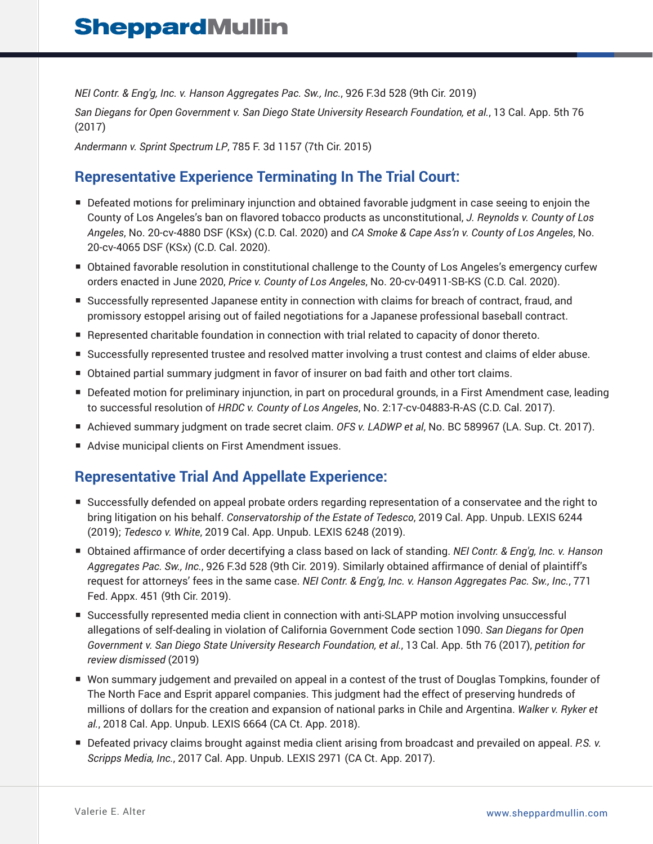*NEI Contr. & Eng'g, Inc. v. Hanson Aggregates Pac. Sw., Inc.*, 926 F.3d 528 (9th Cir. 2019)

*San Diegans for Open Government v. San Diego State University Research Foundation, et al.*, 13 Cal. App. 5th 76 (2017)

*Andermann v. Sprint Spectrum LP*, 785 F. 3d 1157 (7th Cir. 2015)

# **Representative Experience Terminating In The Trial Court:**

- Defeated motions for preliminary injunction and obtained favorable judgment in case seeing to enjoin the County of Los Angeles's ban on flavored tobacco products as unconstitutional, *J. Reynolds v. County of Los Angeles*, No. 20-cv-4880 DSF (KSx) (C.D. Cal. 2020) and *CA Smoke & Cape Ass'n v. County of Los Angeles*, No. 20-cv-4065 DSF (KSx) (C.D. Cal. 2020).
- Obtained favorable resolution in constitutional challenge to the County of Los Angeles's emergency curfew orders enacted in June 2020, *Price v. County of Los Angeles*, No. 20-cv-04911-SB-KS (C.D. Cal. 2020).
- Successfully represented Japanese entity in connection with claims for breach of contract, fraud, and promissory estoppel arising out of failed negotiations for a Japanese professional baseball contract.
- Represented charitable foundation in connection with trial related to capacity of donor thereto.
- Successfully represented trustee and resolved matter involving a trust contest and claims of elder abuse.
- Obtained partial summary judgment in favor of insurer on bad faith and other tort claims.
- Defeated motion for preliminary injunction, in part on procedural grounds, in a First Amendment case, leading to successful resolution of *HRDC v. County of Los Angeles*, No. 2:17-cv-04883-R-AS (C.D. Cal. 2017).
- Achieved summary judgment on trade secret claim. *OFS v. LADWP et al*, No. BC 589967 (LA. Sup. Ct. 2017).
- Advise municipal clients on First Amendment issues.

# **Representative Trial And Appellate Experience:**

- Successfully defended on appeal probate orders regarding representation of a conservatee and the right to bring litigation on his behalf. *Conservatorship of the Estate of Tedesco*, 2019 Cal. App. Unpub. LEXIS 6244 (2019); *Tedesco v. White*, 2019 Cal. App. Unpub. LEXIS 6248 (2019).
- Obtained affirmance of order decertifying a class based on lack of standing. *NEI Contr. & Eng'g, Inc. v. Hanson Aggregates Pac. Sw., Inc.*, 926 F.3d 528 (9th Cir. 2019). Similarly obtained affirmance of denial of plaintiff's request for attorneys' fees in the same case. *NEI Contr. & Eng'g, Inc. v. Hanson Aggregates Pac. Sw., Inc.*, 771 Fed. Appx. 451 (9th Cir. 2019).
- Successfully represented media client in connection with anti-SLAPP motion involving unsuccessful allegations of self-dealing in violation of California Government Code section 1090. *San Diegans for Open Government v. San Diego State University Research Foundation, et al.*, 13 Cal. App. 5th 76 (2017), *petition for review dismissed* (2019)
- Won summary judgement and prevailed on appeal in a contest of the trust of Douglas Tompkins, founder of The North Face and Esprit apparel companies. This judgment had the effect of preserving hundreds of millions of dollars for the creation and expansion of national parks in Chile and Argentina. *Walker v. Ryker et al.*, 2018 Cal. App. Unpub. LEXIS 6664 (CA Ct. App. 2018).
- Defeated privacy claims brought against media client arising from broadcast and prevailed on appeal. P.S. *v. Scripps Media, Inc.*, 2017 Cal. App. Unpub. LEXIS 2971 (CA Ct. App. 2017).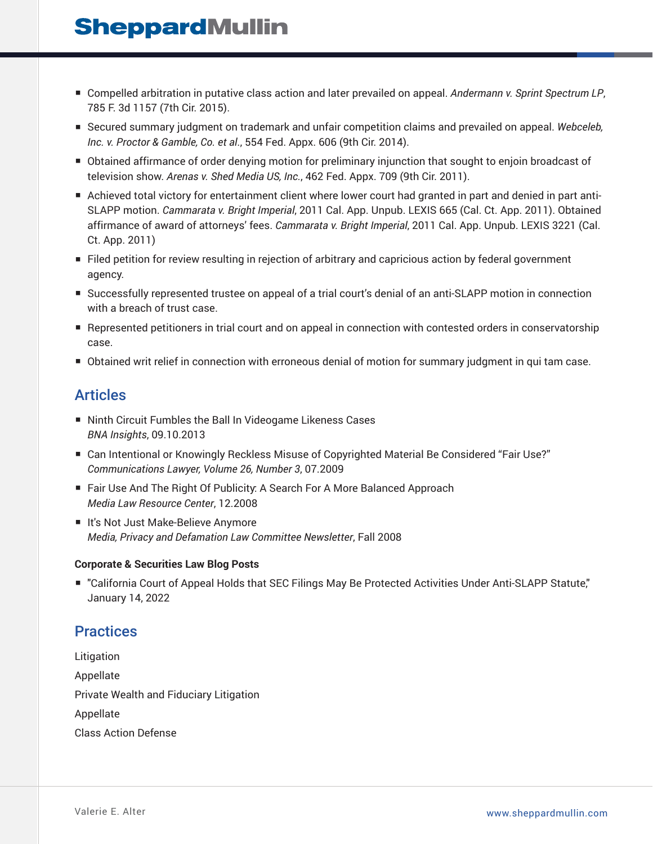# **SheppardMullin**

- Compelled arbitration in putative class action and later prevailed on appeal. Andermann v. Sprint Spectrum LP, 785 F. 3d 1157 (7th Cir. 2015).
- Secured summary judgment on trademark and unfair competition claims and prevailed on appeal. Webceleb, *Inc. v. Proctor & Gamble, Co. et al*., 554 Fed. Appx. 606 (9th Cir. 2014).
- Obtained affirmance of order denying motion for preliminary injunction that sought to enjoin broadcast of television show. *Arenas v. Shed Media US, Inc.*, 462 Fed. Appx. 709 (9th Cir. 2011).
- Achieved total victory for entertainment client where lower court had granted in part and denied in part anti-SLAPP motion. *Cammarata v. Bright Imperial*, 2011 Cal. App. Unpub. LEXIS 665 (Cal. Ct. App. 2011). Obtained affirmance of award of attorneys' fees. *Cammarata v. Bright Imperial*, 2011 Cal. App. Unpub. LEXIS 3221 (Cal. Ct. App. 2011)
- Filed petition for review resulting in rejection of arbitrary and capricious action by federal government agency.
- Successfully represented trustee on appeal of a trial court's denial of an anti-SLAPP motion in connection with a breach of trust case.
- Represented petitioners in trial court and on appeal in connection with contested orders in conservatorship case.
- Obtained writ relief in connection with erroneous denial of motion for summary judgment in qui tam case.

### Articles

- Ninth Circuit Fumbles the Ball In Videogame Likeness Cases *BNA Insights*, 09.10.2013
- Can Intentional or Knowingly Reckless Misuse of Copyrighted Material Be Considered "Fair Use?" *Communications Lawyer, Volume 26, Number 3*, 07.2009
- Fair Use And The Right Of Publicity: A Search For A More Balanced Approach *Media Law Resource Center*, 12.2008
- It's Not Just Make-Believe Anymore *Media, Privacy and Defamation Law Committee Newsletter*, Fall 2008

#### **Corporate & Securities Law Blog Posts**

■ "California Court of Appeal Holds that SEC Filings May Be Protected Activities Under Anti-SLAPP Statute," January 14, 2022

# **Practices**

Litigation Appellate Private Wealth and Fiduciary Litigation Appellate Class Action Defense